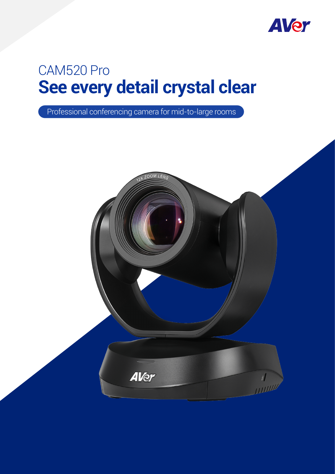

# **See every detail crystal clear** CAM520 Pro

Professional conferencing camera for mid-to-large rooms

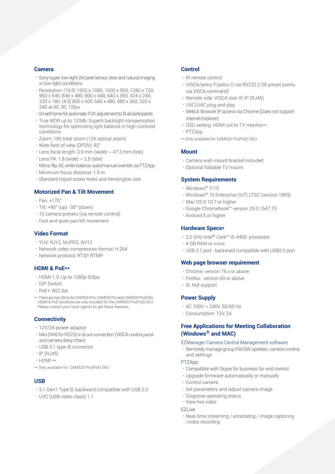#### **Camera**

- •Sony super-low-light 2M pixel sensor, clear and natural imaging in low-light conditions
- •Resolution: (16:9) 1920 x 1080, 1600 x 900, 1280 x 720, 960 x 540, 848 x 480, 800 x 448, 640 x 360, 424 x 240, 320 x 180; (4:3) 800 x 600, 640 x 480, 480 x 360, 320 x 240 at 60, 30, 15fps
- •SmartFrame for automatic FOV adjustment to fit all participants
- •True WDR up to 120db: Superb backlight compensation technology for optimizing light balance in high-contrast conditions
- •Zoom: 18X total zoom (12X optical zoom)
- •Wide field of view (DFOV): 82°
- $\cdot$  Lens focal length: 3.9 mm (wide)  $\sim$  47.3 mm (tele)
- $\cdot$  Lens F#: 1.8 (wide)  $\sim$  2.8 (tele)
- •Mirror, flip, AE, white balance: auto/manual override via PTZApp
- •Minimum focus distance: 1.5 m
- •Standard tripod screw holes and Kensington slot

## **Motorized Pan & Tilt Movement**

- •Pan: ±170°
- •Tilt: +90° (up) -30° (down)
- •10 camera presets (via remote control)
- •Fast and quiet pan/tilt movement

# **Video Format**

- •YUV, YUY2, MJPEG, NV12
- •Network video compression format: H.264
- •Network protocol: RTSP, RTMP

## **HDMI & PoE\*\***

- •HDMI 1.3: Up to 1080p 60fps
- •DIP Switch
- •PoE+: 802.3at
- \*\* There are two SKUs for CAM520 Pro: CAM520 Pro and CAM520 Pro(PoE). HDMI & PoE functions are only included for the CAM520 Pro(PoE) SKU. Please contact your local agents to get these features.

## **Connectivity**

- •12V/2A power adaptor
- •Mini DIN9 for RS232 in & out connection (VISCA control panel and camera daisy chain)
- •USB 3.1 type-B connector
- $\cdot$  IP (RJ45)
- •HDMI \*\*
- \*\* Only available for CAM520 Pro(PoE) SKU

#### **USB**

- •3.1 Gen1 Type B, backward compatible with USB 2.0
- •UVC (USB video class) 1.1

## **Control**

- •IR remote control
- •VISCA/pelco P/pelco D via RS232 (128 preset points via VISCA command)
- •Remote side: VISCA over IP, IP (RJ45)
- •UVC/UAC plug and play
- •WebUI: Browser IP access via Chrome (Does not support Internet Explorer)
- OSD setting: HDMI out to TV monitor\*\*
- •PTZApp
- \*\* Only available for CAM520 Pro(PoE) SKU

## **Mount**

- •Camera wall-mount bracket included
- •Optional foldable TV mount

#### **System Requirements**

- •Windows® 7/10
- •Windows® 10 Enterprise (IoT) LTSC (version 1809)
- •Mac OS X 10.7 or higher
- •Google Chromebook™ version 29.0.1547.70
- •Android 5 or higher

#### **Hardware Specs\***

- •3.2 GHz Intel® Core™ i5-4460 processor
- •4 GB RAM or more
- •USB 3.1 port , backward compatible with USB2.0 port

#### **Web page browser requirement**

- •Chrome: version 76.x or above
- •Firefox: version 69 or above
- •IE: Not support

#### **Power Supply**

- $\cdot$  AC 100V  $\sim$  240V, 50/60 Hz
- •Consumption: 12V, 2A

## **Free Applications for Meeting Collaboration (Windows® and MAC)**

## EZManager Camera Central Management software

•Remotely manage group FW/SW updates, camera control, and settings

## PTZApp

- •Compatible with Skype for business far-end control
- •Upgrade firmware automatically or manually
- •Control camera
- •Set parameters and adjust camera image
- •Diagnose operating status
- •View live video

#### EZLive

•Real-time streaming / annotating / image capturing /video recording